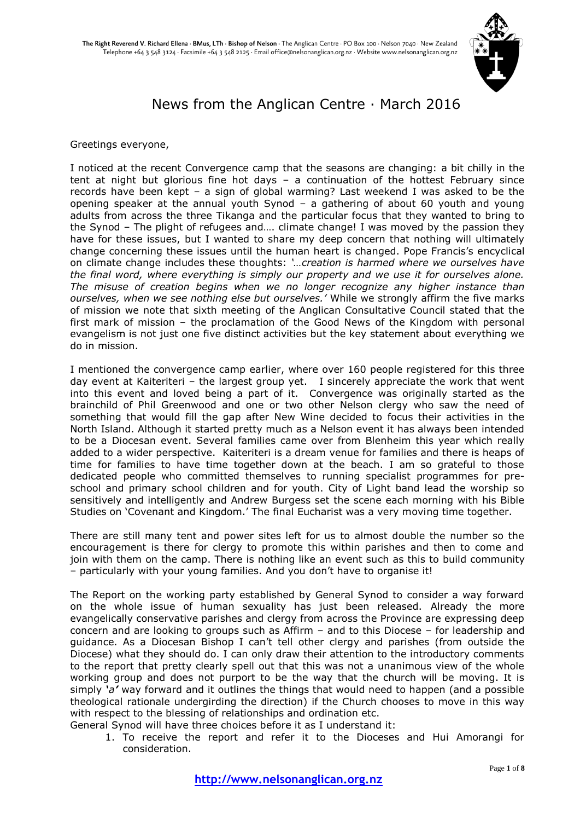

# News from the Anglican Centre · March 2016

#### Greetings everyone,

I noticed at the recent Convergence camp that the seasons are changing: a bit chilly in the tent at night but glorious fine hot days – a continuation of the hottest February since records have been kept – a sign of global warming? Last weekend I was asked to be the opening speaker at the annual youth Synod – a gathering of about 60 youth and young adults from across the three Tikanga and the particular focus that they wanted to bring to the Synod – The plight of refugees and…. climate change! I was moved by the passion they have for these issues, but I wanted to share my deep concern that nothing will ultimately change concerning these issues until the human heart is changed. Pope Francis's encyclical on climate change includes these thoughts: *'…creation is harmed where we ourselves have the final word, where everything is simply our property and we use it for ourselves alone. The misuse of creation begins when we no longer recognize any higher instance than ourselves, when we see nothing else but ourselves.'* While we strongly affirm the five marks of mission we note that sixth meeting of the Anglican Consultative Council stated that the first mark of mission – the proclamation of the Good News of the Kingdom with personal evangelism is not just one five distinct activities but the key statement about everything we do in mission.

I mentioned the convergence camp earlier, where over 160 people registered for this three day event at Kaiteriteri – the largest group yet. I sincerely appreciate the work that went into this event and loved being a part of it. Convergence was originally started as the brainchild of Phil Greenwood and one or two other Nelson clergy who saw the need of something that would fill the gap after New Wine decided to focus their activities in the North Island. Although it started pretty much as a Nelson event it has always been intended to be a Diocesan event. Several families came over from Blenheim this year which really added to a wider perspective. Kaiteriteri is a dream venue for families and there is heaps of time for families to have time together down at the beach. I am so grateful to those dedicated people who committed themselves to running specialist programmes for preschool and primary school children and for youth. City of Light band lead the worship so sensitively and intelligently and Andrew Burgess set the scene each morning with his Bible Studies on 'Covenant and Kingdom.' The final Eucharist was a very moving time together.

There are still many tent and power sites left for us to almost double the number so the encouragement is there for clergy to promote this within parishes and then to come and join with them on the camp. There is nothing like an event such as this to build community – particularly with your young families. And you don't have to organise it!

The Report on the working party established by General Synod to consider a way forward on the whole issue of human sexuality has just been released. Already the more evangelically conservative parishes and clergy from across the Province are expressing deep concern and are looking to groups such as Affirm – and to this Diocese – for leadership and guidance. As a Diocesan Bishop I can't tell other clergy and parishes (from outside the Diocese) what they should do. I can only draw their attention to the introductory comments to the report that pretty clearly spell out that this was not a unanimous view of the whole working group and does not purport to be the way that the church will be moving. It is simply *'a'* way forward and it outlines the things that would need to happen (and a possible theological rationale undergirding the direction) if the Church chooses to move in this way with respect to the blessing of relationships and ordination etc.

General Synod will have three choices before it as I understand it:

1. To receive the report and refer it to the Dioceses and Hui Amorangi for consideration.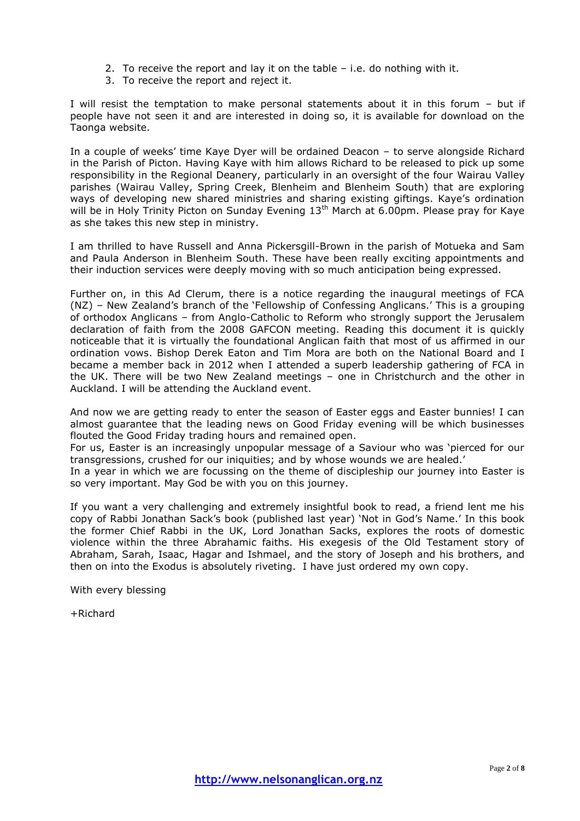- 2. To receive the report and lay it on the table i.e. do nothing with it.
- 3. To receive the report and reject it.

I will resist the temptation to make personal statements about it in this forum – but if people have not seen it and are interested in doing so, it is available for download on the Taonga website.

In a couple of weeks' time Kaye Dyer will be ordained Deacon – to serve alongside Richard in the Parish of Picton. Having Kaye with him allows Richard to be released to pick up some responsibility in the Regional Deanery, particularly in an oversight of the four Wairau Valley parishes (Wairau Valley, Spring Creek, Blenheim and Blenheim South) that are exploring ways of developing new shared ministries and sharing existing giftings. Kaye's ordination will be in Holy Trinity Picton on Sunday Evening 13<sup>th</sup> March at 6.00pm. Please pray for Kaye as she takes this new step in ministry.

I am thrilled to have Russell and Anna Pickersgill-Brown in the parish of Motueka and Sam and Paula Anderson in Blenheim South. These have been really exciting appointments and their induction services were deeply moving with so much anticipation being expressed.

Further on, in this Ad Clerum, there is a notice regarding the inaugural meetings of FCA (NZ) – New Zealand's branch of the 'Fellowship of Confessing Anglicans.' This is a grouping of orthodox Anglicans – from Anglo-Catholic to Reform who strongly support the Jerusalem declaration of faith from the 2008 GAFCON meeting. Reading this document it is quickly noticeable that it is virtually the foundational Anglican faith that most of us affirmed in our ordination vows. Bishop Derek Eaton and Tim Mora are both on the National Board and I became a member back in 2012 when I attended a superb leadership gathering of FCA in the UK. There will be two New Zealand meetings – one in Christchurch and the other in Auckland. I will be attending the Auckland event.

And now we are getting ready to enter the season of Easter eggs and Easter bunnies! I can almost guarantee that the leading news on Good Friday evening will be which businesses flouted the Good Friday trading hours and remained open.

For us, Easter is an increasingly unpopular message of a Saviour who was 'pierced for our transgressions, crushed for our iniquities; and by whose wounds we are healed.'

In a year in which we are focussing on the theme of discipleship our journey into Easter is so very important. May God be with you on this journey.

If you want a very challenging and extremely insightful book to read, a friend lent me his copy of Rabbi Jonathan Sack's book (published last year) 'Not in God's Name.' In this book the former Chief Rabbi in the UK, Lord Jonathan Sacks, explores the roots of domestic violence within the three Abrahamic faiths. His exegesis of the Old Testament story of Abraham, Sarah, Isaac, Hagar and Ishmael, and the story of Joseph and his brothers, and then on into the Exodus is absolutely riveting. I have just ordered my own copy.

With every blessing

+Richard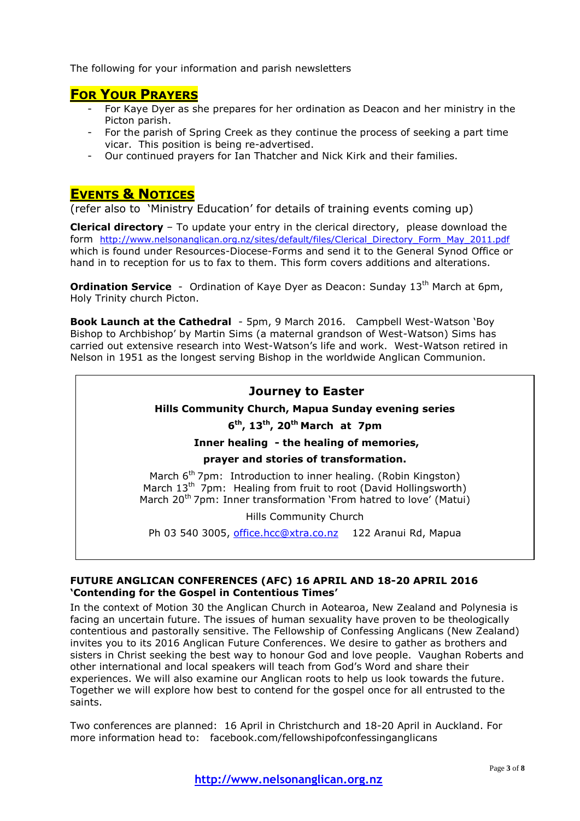The following for your information and parish newsletters

## **FOR YOUR PRAYERS**

- For Kaye Dyer as she prepares for her ordination as Deacon and her ministry in the Picton parish.
- For the parish of Spring Creek as they continue the process of seeking a part time vicar. This position is being re-advertised.
- Our continued prayers for Ian Thatcher and Nick Kirk and their families.

## **EVENTS & NOTICES**

(refer also to 'Ministry Education' for details of training events coming up)

**Clerical directory** – To update your entry in the clerical directory, please download the form http://www.nelsonanglican.org.nz/sites/default/files/Clerical Directory Form May 2011.pdf which is found under Resources-Diocese-Forms and send it to the General Synod Office or hand in to reception for us to fax to them. This form covers additions and alterations.

**Ordination Service** - Ordination of Kaye Dyer as Deacon: Sunday 13<sup>th</sup> March at 6pm, Holy Trinity church Picton.

**Book Launch at the Cathedral** - 5pm, 9 March 2016. Campbell West-Watson 'Boy Bishop to Archbishop' by Martin Sims (a maternal grandson of West-Watson) Sims has carried out extensive research into West-Watson's life and work. West-Watson retired in Nelson in 1951 as the longest serving Bishop in the worldwide Anglican Communion.

## **Journey to Easter**

#### **Hills Community Church, Mapua Sunday evening series**

#### **6 th, 13th, 20th March at 7pm**

## **Inner healing - the healing of memories,**

#### **prayer and stories of transformation.**

March 6<sup>th</sup> 7pm: Introduction to inner healing. (Robin Kingston) March 13<sup>th</sup> 7pm: Healing from fruit to root (David Hollingsworth) March 20<sup>th</sup> 7pm: Inner transformation 'From hatred to love' (Matui)

Hills Community Church

Ph 03 540 3005, [office.hcc@xtra.co.nz](mailto:office.hcc@xtra.co.nz) 122 Aranui Rd, Mapua

#### **FUTURE ANGLICAN CONFERENCES (AFC) 16 APRIL AND 18-20 APRIL 2016 'Contending for the Gospel in Contentious Times'**

In the context of Motion 30 the Anglican Church in Aotearoa, New Zealand and Polynesia is facing an uncertain future. The issues of human sexuality have proven to be theologically contentious and pastorally sensitive. The Fellowship of Confessing Anglicans (New Zealand) invites you to its 2016 Anglican Future Conferences. We desire to gather as brothers and sisters in Christ seeking the best way to honour God and love people. Vaughan Roberts and other international and local speakers will teach from God's Word and share their experiences. We will also examine our Anglican roots to help us look towards the future. Together we will explore how best to contend for the gospel once for all entrusted to the saints.

Two conferences are planned: 16 April in Christchurch and 18-20 April in Auckland. For more information head to: facebook.com/fellowshipofconfessinganglicans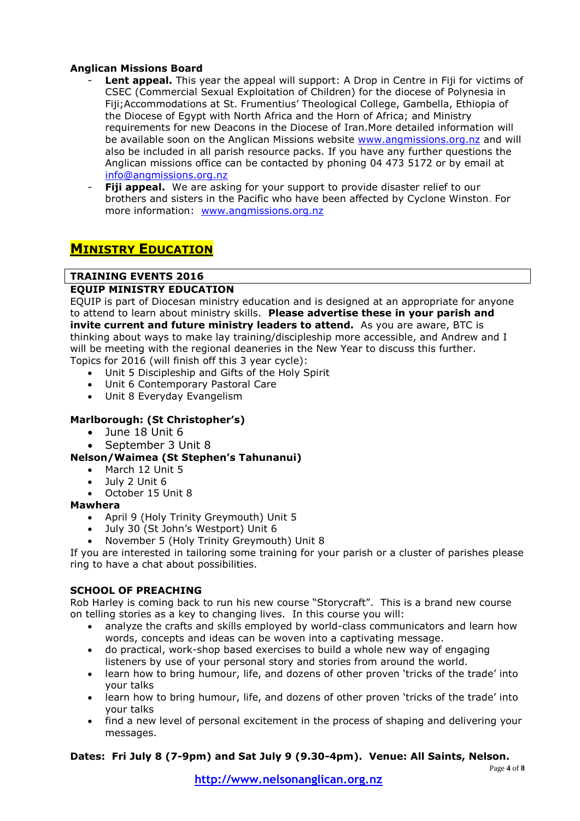## **Anglican Missions Board**

- Lent appeal. This year the appeal will support: A Drop in Centre in Fiji for victims of CSEC (Commercial Sexual Exploitation of Children) for the diocese of Polynesia in Fiji;Accommodations at St. Frumentius' Theological College, Gambella, Ethiopia of the Diocese of Egypt with North Africa and the Horn of Africa; and Ministry requirements for new Deacons in the Diocese of Iran.More detailed information will be available soon on the Anglican Missions website [www.angmissions.org.nz](http://www.angmissions.org.nz/) and will also be included in all parish resource packs. If you have any further questions the Anglican missions office can be contacted by phoning 04 473 5172 or by email at [info@angmissions.org.nz](mailto:info@angmissions.org.nz)
- Fiji appeal. We are asking for your support to provide disaster relief to our brothers and sisters in the Pacific who have been affected by Cyclone Winston. For more information: [www.angmissions.org.nz](http://www.angmissions.org.nz/)

## **MINISTRY EDUCATION**

## **TRAINING EVENTS 2016**

### **EQUIP MINISTRY EDUCATION**

EQUIP is part of Diocesan ministry education and is designed at an appropriate for anyone to attend to learn about ministry skills. **Please advertise these in your parish and invite current and future ministry leaders to attend.** As you are aware, BTC is thinking about ways to make lay training/discipleship more accessible, and Andrew and I will be meeting with the regional deaneries in the New Year to discuss this further. Topics for 2016 (will finish off this 3 year cycle):

- Unit 5 Discipleship and Gifts of the Holy Spirit
- Unit 6 Contemporary Pastoral Care
- Unit 8 Everyday Evangelism

## **Marlborough: (St Christopher's)**

- June 18 Unit 6
- September 3 Unit 8

### **Nelson/Waimea (St Stephen's Tahunanui)**

- March 12 Unit 5
- July 2 Unit 6
- October 15 Unit 8
- **Mawhera**
	- April 9 (Holy Trinity Greymouth) Unit 5
	- July 30 (St John's Westport) Unit 6
	- November 5 (Holy Trinity Greymouth) Unit 8

If you are interested in tailoring some training for your parish or a cluster of parishes please ring to have a chat about possibilities.

### **SCHOOL OF PREACHING**

Rob Harley is coming back to run his new course "Storycraft". This is a brand new course on telling stories as a key to changing lives. In this course you will:

- analyze the crafts and skills employed by world-class communicators and learn how words, concepts and ideas can be woven into a captivating message.
- do practical, work-shop based exercises to build a whole new way of engaging listeners by use of your personal story and stories from around the world.
- learn how to bring humour, life, and dozens of other proven 'tricks of the trade' into your talks
- learn how to bring humour, life, and dozens of other proven 'tricks of the trade' into your talks
- find a new level of personal excitement in the process of shaping and delivering your messages.

### **Dates: Fri July 8 (7-9pm) and Sat July 9 (9.30-4pm). Venue: All Saints, Nelson.**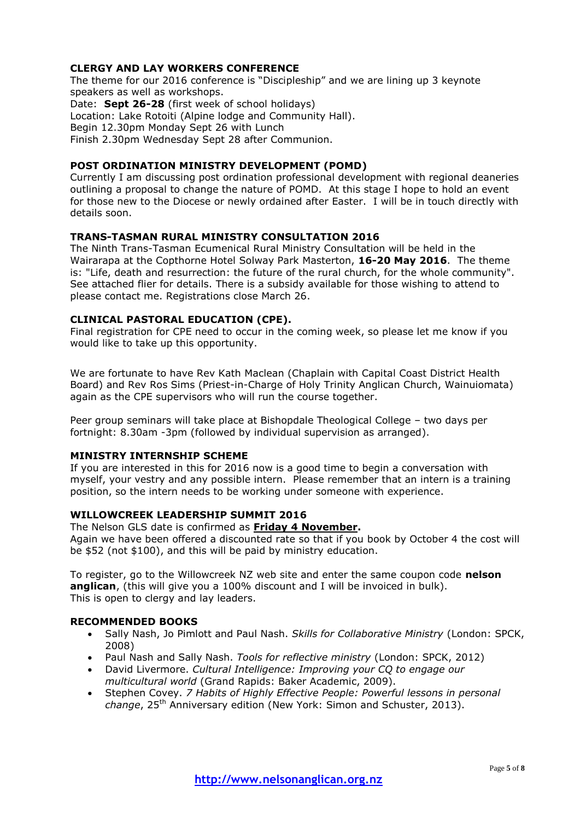#### **CLERGY AND LAY WORKERS CONFERENCE**

The theme for our 2016 conference is "Discipleship" and we are lining up 3 keynote speakers as well as workshops.

Date: **Sept 26-28** (first week of school holidays)

Location: Lake Rotoiti (Alpine lodge and Community Hall).

Begin 12.30pm Monday Sept 26 with Lunch

Finish 2.30pm Wednesday Sept 28 after Communion.

### **POST ORDINATION MINISTRY DEVELOPMENT (POMD)**

Currently I am discussing post ordination professional development with regional deaneries outlining a proposal to change the nature of POMD. At this stage I hope to hold an event for those new to the Diocese or newly ordained after Easter. I will be in touch directly with details soon.

### **TRANS-TASMAN RURAL MINISTRY CONSULTATION 2016**

The Ninth Trans-Tasman Ecumenical Rural Ministry Consultation will be held in the Wairarapa at the Copthorne Hotel Solway Park Masterton, **16-20 May 2016**. The theme is: "Life, death and resurrection: the future of the rural church, for the whole community". See attached flier for details. There is a subsidy available for those wishing to attend to please contact me. Registrations close March 26.

#### **CLINICAL PASTORAL EDUCATION (CPE).**

Final registration for CPE need to occur in the coming week, so please let me know if you would like to take up this opportunity.

We are fortunate to have Rev Kath Maclean (Chaplain with Capital Coast District Health Board) and Rev Ros Sims (Priest-in-Charge of Holy Trinity Anglican Church, Wainuiomata) again as the CPE supervisors who will run the course together.

Peer group seminars will take place at Bishopdale Theological College – two days per fortnight: 8.30am -3pm (followed by individual supervision as arranged).

#### **MINISTRY INTERNSHIP SCHEME**

If you are interested in this for 2016 now is a good time to begin a conversation with myself, your vestry and any possible intern. Please remember that an intern is a training position, so the intern needs to be working under someone with experience.

### **WILLOWCREEK LEADERSHIP SUMMIT 2016**

The Nelson GLS date is confirmed as **Friday 4 November.** Again we have been offered a discounted rate so that if you book by October 4 the cost will be \$52 (not \$100), and this will be paid by ministry education.

To register, go to the Willowcreek NZ web site and enter the same coupon code **nelson anglican**, (this will give you a 100% discount and I will be invoiced in bulk). This is open to clergy and lay leaders.

### **RECOMMENDED BOOKS**

- Sally Nash, Jo Pimlott and Paul Nash. *Skills for Collaborative Ministry* (London: SPCK, 2008)
- Paul Nash and Sally Nash. *Tools for reflective ministry* (London: SPCK, 2012)
- David Livermore. *Cultural Intelligence: Improving your CQ to engage our multicultural world* (Grand Rapids: Baker Academic, 2009).
- Stephen Covey. *7 Habits of Highly Effective People: Powerful lessons in personal change*, 25th Anniversary edition (New York: Simon and Schuster, 2013).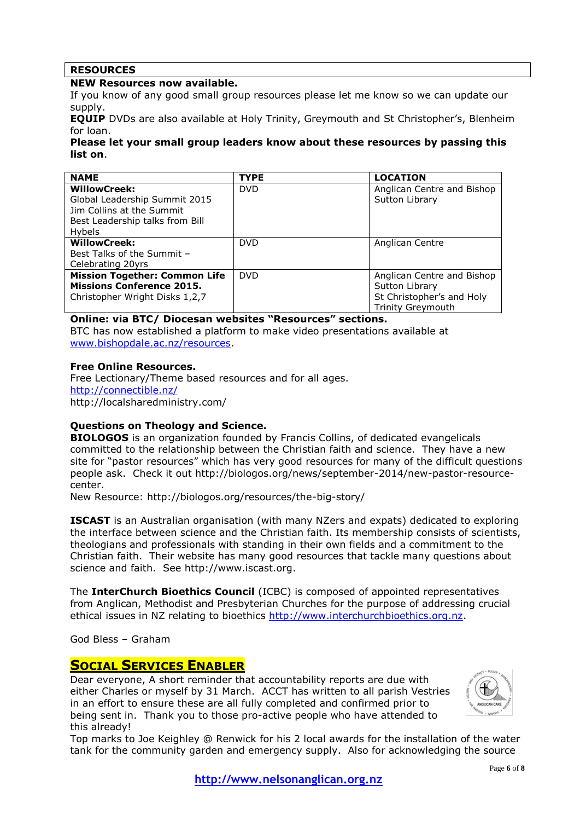## **RESOURCES**

#### **NEW Resources now available.**

If you know of any good small group resources please let me know so we can update our supply.

**EQUIP** DVDs are also available at Holy Trinity, Greymouth and St Christopher's, Blenheim for loan.

#### **Please let your small group leaders know about these resources by passing this list on**.

| <b>NAME</b>                          | <b>TYPE</b> | <b>LOCATION</b>            |
|--------------------------------------|-------------|----------------------------|
| <b>WillowCreek:</b>                  | <b>DVD</b>  | Anglican Centre and Bishop |
| Global Leadership Summit 2015        |             | Sutton Library             |
| Jim Collins at the Summit            |             |                            |
| Best Leadership talks from Bill      |             |                            |
| <b>Hybels</b>                        |             |                            |
| <b>WillowCreek:</b>                  | <b>DVD</b>  | Anglican Centre            |
| Best Talks of the Summit -           |             |                            |
| Celebrating 20yrs                    |             |                            |
| <b>Mission Together: Common Life</b> | <b>DVD</b>  | Anglican Centre and Bishop |
| <b>Missions Conference 2015.</b>     |             | Sutton Library             |
| Christopher Wright Disks 1,2,7       |             | St Christopher's and Holy  |
|                                      |             | <b>Trinity Greymouth</b>   |

#### **Online: via BTC/ Diocesan websites "Resources" sections.**

BTC has now established a platform to make video presentations available at [www.bishopdale.ac.nz/resources.](http://www.bishopdale.ac.nz/resources)

#### **Free Online Resources.**

Free Lectionary/Theme based resources and for all ages. <http://connectible.nz/> http://localsharedministry.com/

### **Questions on Theology and Science.**

**BIOLOGOS** is an organization founded by Francis Collins, of dedicated evangelicals committed to the relationship between the Christian faith and science. They have a new site for "pastor resources" which has very good resources for many of the difficult questions people ask. Check it out http://biologos.org/news/september-2014/new-pastor-resourcecenter.

New Resource: http://biologos.org/resources/the-big-story/

**ISCAST** is an Australian organisation (with many NZers and expats) dedicated to exploring the interface between science and the Christian faith. Its membership consists of scientists, theologians and professionals with standing in their own fields and a commitment to the Christian faith. Their website has many good resources that tackle many questions about science and faith. See http://www.iscast.org.

The **InterChurch Bioethics Council** (ICBC) is composed of appointed representatives from Anglican, Methodist and Presbyterian Churches for the purpose of addressing crucial ethical issues in NZ relating to bioethics [http://www.interchurchbioethics.org.nz.](http://www.interchurchbioethics.org.nz/)

God Bless – Graham

## **SOCIAL SERVICES ENABLER**

Dear everyone, A short reminder that accountability reports are due with either Charles or myself by 31 March. ACCT has written to all parish Vestries in an effort to ensure these are all fully completed and confirmed prior to being sent in. Thank you to those pro-active people who have attended to this already!



Top marks to Joe Keighley @ Renwick for his 2 local awards for the installation of the water tank for the community garden and emergency supply. Also for acknowledging the source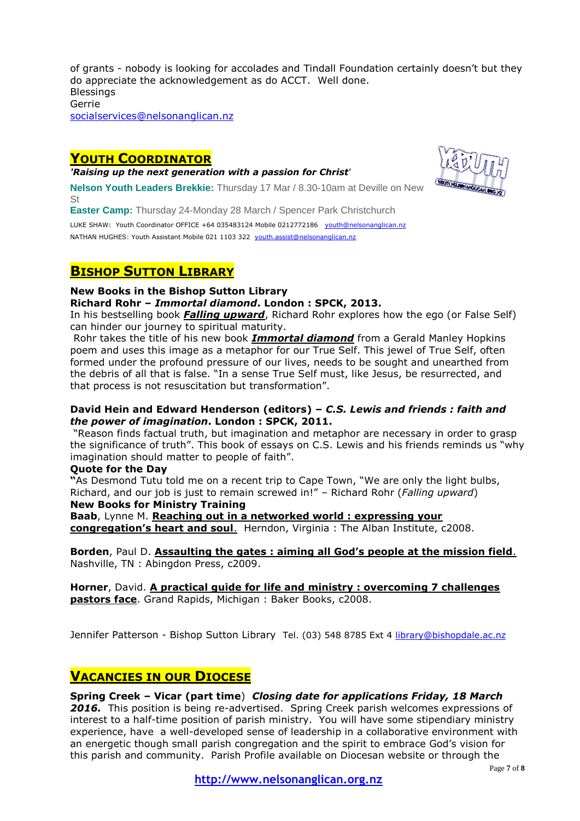of grants - nobody is looking for accolades and Tindall Foundation certainly doesn't but they do appreciate the acknowledgement as do ACCT. Well done. **Blessings** Gerrie [socialservices@nelsonanglican.nz](mailto:socialservices@nelsonanglican.nz)

## **YOUTH COORDINATOR**

*'Raising up the next generation with a passion for Christ*'



**Easter Camp:** Thursday 24-Monday 28 March / Spencer Park Christchurch

LUKE SHAW: Youth Coordinator OFFICE +64 035483124 Mobile 0212772186 [youth@nelsonanglican.nz](mailto:youth@nelsonanglican.nz) NATHAN HUGHES: Youth Assistant Mobile 021 1103 322 [youth.assist@nelsonanglican.nz](mailto:youth.assist@nelsonanglican.nz)

## **BISHOP SUTTON LIBRARY**

#### **New Books in the Bishop Sutton Library**

**Richard Rohr –** *Immortal diamond***. London : SPCK, 2013.**

In his bestselling book *Falling upward*, Richard Rohr explores how the ego (or False Self) can hinder our journey to spiritual maturity.

Rohr takes the title of his new book *Immortal diamond* from a Gerald Manley Hopkins poem and uses this image as a metaphor for our True Self. This jewel of True Self, often formed under the profound pressure of our lives, needs to be sought and unearthed from the debris of all that is false. "In a sense True Self must, like Jesus, be resurrected, and that process is not resuscitation but transformation".

#### **David Hein and Edward Henderson (editors)** *– C.S. Lewis and friends : faith and the power of imagination***. London : SPCK, 2011.**

"Reason finds factual truth, but imagination and metaphor are necessary in order to grasp the significance of truth". This book of essays on C.S. Lewis and his friends reminds us "why imagination should matter to people of faith".

#### **Quote for the Day**

**"**As Desmond Tutu told me on a recent trip to Cape Town, "We are only the light bulbs, Richard, and our job is just to remain screwed in!" – Richard Rohr (*Falling upward*)

## **New Books for Ministry Training**

**Baab**, Lynne M. **Reaching out in a networked world : expressing your congregation's heart and soul**. Herndon, Virginia : The Alban Institute, c2008.

**Borden**, Paul D. **Assaulting the gates : aiming all God's people at the mission field**. Nashville, TN : Abingdon Press, c2009.

**Horner**, David. **A practical guide for life and ministry : overcoming 7 challenges pastors face**. Grand Rapids, Michigan : Baker Books, c2008.

Jennifer Patterson - Bishop Sutton Library Tel. (03) 548 8785 Ext 4 [library@bishopdale.ac.nz](mailto:library@bishopdale.ac.nz)

## **VACANCIES IN OUR DIOCESE**

### **Spring Creek – Vicar (part time**) *Closing date for applications Friday, 18 March*

*2016.* This position is being re-advertised. Spring Creek parish welcomes expressions of interest to a half-time position of parish ministry. You will have some stipendiary ministry experience, have a well-developed sense of leadership in a collaborative environment with an energetic though small parish congregation and the spirit to embrace God's vision for this parish and community. Parish Profile available on Diocesan website or through the